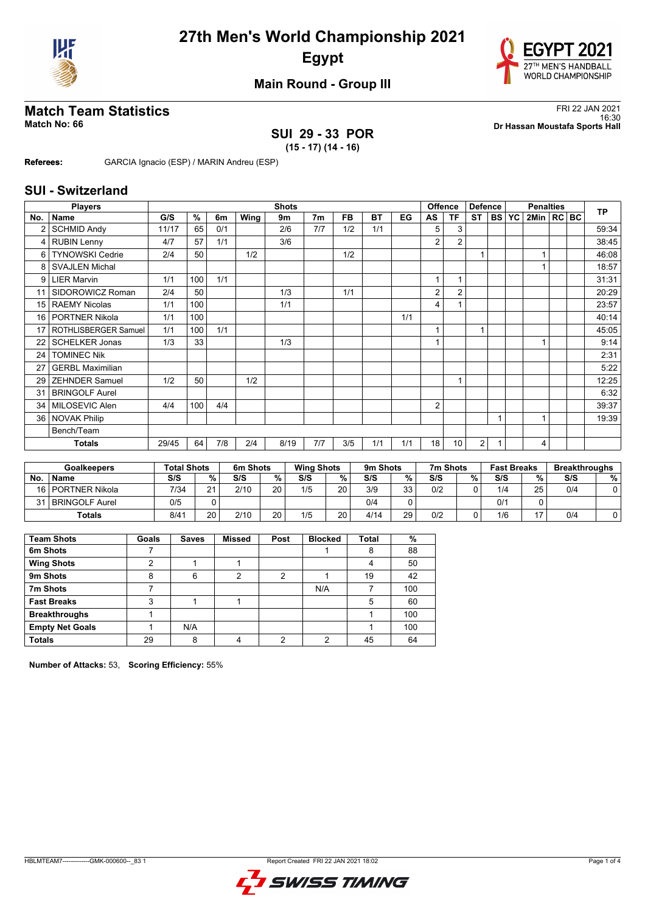



## **Main Round - Group III**

## **Match Team Statistics** FRI 22 JAN 2021

## **SUI 29 - 33 POR**

16:30 **Match No: 66 Dr Hassan Moustafa Sports Hall**

**(15 - 17) (14 - 16) Referees:** GARCIA Ignacio (ESP) / MARIN Andreu (ESP)

#### **SUI - Switzerland**

|                 | <b>Players</b>          |       |     |     |      | <b>Shots</b> |                |     |           |     | <b>Offence</b>           |                | <b>Defence</b> |           | <b>Penalties</b> |                | <b>TP</b> |       |
|-----------------|-------------------------|-------|-----|-----|------|--------------|----------------|-----|-----------|-----|--------------------------|----------------|----------------|-----------|------------------|----------------|-----------|-------|
| No.             | <b>Name</b>             | G/S   | %   | 6m  | Wing | 9m           | 7 <sub>m</sub> | FB. | <b>BT</b> | EG  | AS                       | ΤF             | <b>ST</b>      | <b>BS</b> | <b>YC</b>        | 2Min   RC   BC |           |       |
|                 | <b>SCHMID Andy</b>      | 11/17 | 65  | 0/1 |      | 2/6          | 7/7            | 1/2 | 1/1       |     | 5                        | 3              |                |           |                  |                |           | 59:34 |
| 4               | <b>RUBIN Lenny</b>      | 4/7   | 57  | 1/1 |      | 3/6          |                |     |           |     | $\overline{2}$           | $\overline{2}$ |                |           |                  |                |           | 38:45 |
| 6               | <b>TYNOWSKI Cedrie</b>  | 2/4   | 50  |     | 1/2  |              |                | 1/2 |           |     |                          |                | 1              |           |                  |                |           | 46:08 |
| 8               | <b>SVAJLEN Michal</b>   |       |     |     |      |              |                |     |           |     |                          |                |                |           |                  |                |           | 18:57 |
| 9               | <b>LIER Marvin</b>      | 1/1   | 100 | 1/1 |      |              |                |     |           |     | 1                        |                |                |           |                  |                |           | 31:31 |
| 11              | SIDOROWICZ Roman        | 2/4   | 50  |     |      | 1/3          |                | 1/1 |           |     | 2                        | $\overline{2}$ |                |           |                  |                |           | 20:29 |
| 15 <sup>1</sup> | <b>RAEMY Nicolas</b>    | 1/1   | 100 |     |      | 1/1          |                |     |           |     | 4                        |                |                |           |                  |                |           | 23:57 |
| 16 <sup>1</sup> | <b>PORTNER Nikola</b>   | 1/1   | 100 |     |      |              |                |     |           | 1/1 |                          |                |                |           |                  |                |           | 40:14 |
| 17              | ROTHLISBERGER Samuel    | 1/1   | 100 | 1/1 |      |              |                |     |           |     | $\overline{\phantom{a}}$ |                | 1              |           |                  |                |           | 45:05 |
| 22              | <b>SCHELKER Jonas</b>   | 1/3   | 33  |     |      | 1/3          |                |     |           |     |                          |                |                |           |                  |                |           | 9:14  |
| 24              | <b>TOMINEC Nik</b>      |       |     |     |      |              |                |     |           |     |                          |                |                |           |                  |                |           | 2:31  |
| 27              | <b>GERBL Maximilian</b> |       |     |     |      |              |                |     |           |     |                          |                |                |           |                  |                |           | 5:22  |
| 29              | <b>ZEHNDER Samuel</b>   | 1/2   | 50  |     | 1/2  |              |                |     |           |     |                          | 1              |                |           |                  |                |           | 12:25 |
| 31              | <b>BRINGOLF Aurel</b>   |       |     |     |      |              |                |     |           |     |                          |                |                |           |                  |                |           | 6:32  |
| 34              | MILOSEVIC Alen          | 4/4   | 100 | 4/4 |      |              |                |     |           |     | 2                        |                |                |           |                  |                |           | 39:37 |
| 36 <sup>1</sup> | NOVAK Philip            |       |     |     |      |              |                |     |           |     |                          |                |                |           |                  |                |           | 19:39 |
|                 | Bench/Team              |       |     |     |      |              |                |     |           |     |                          |                |                |           |                  |                |           |       |
|                 | <b>Totals</b>           | 29/45 | 64  | 7/8 | 2/4  | 8/19         | 7/7            | 3/5 | 1/1       | 1/1 | 18                       | 10             | $\overline{2}$ |           |                  | 4              |           |       |

|     | Goalkeepers           |      | <b>Total Shots</b> |      | 6m Shots |     | <b>Wing Shots</b> |      | 9m Shots |     | 7m Shots |     | <b>Fast Breaks</b> | <b>Breakthroughs</b> |   |
|-----|-----------------------|------|--------------------|------|----------|-----|-------------------|------|----------|-----|----------|-----|--------------------|----------------------|---|
| No. | <b>Name</b>           | S/S  | %                  | S/S  | $\%$ .   | S/S | %                 | S/S  | %        | S/S | %        | S/S | %                  | S/S                  | % |
|     | 16   PORTNER Nikola   | 7/34 | $\mathcal{L}$      | 2/10 | 20       | 1/5 | 20                | 3/9  | 33       | 0/2 |          | 1/4 | 25                 | 0/4                  |   |
| 31  | <b>BRINGOLF Aurel</b> | 0/5  |                    |      |          |     |                   | 0/4  |          |     |          | 0/1 |                    |                      |   |
|     | Totals                | 8/41 | 20                 | 2/10 | 20       | 1/5 | 20                | 4/14 | 29       | 0/2 |          | 1/6 | $\overline{ }$     | 0/4                  |   |

| <b>Team Shots</b>      | Goals | <b>Saves</b> | <b>Missed</b> | Post | <b>Blocked</b> | <b>Total</b> | %   |
|------------------------|-------|--------------|---------------|------|----------------|--------------|-----|
| 6m Shots               |       |              |               |      |                | 8            | 88  |
| <b>Wing Shots</b>      | 2     |              |               |      |                | 4            | 50  |
| 9m Shots               | 8     | 6            | っ             | ົ    |                | 19           | 42  |
| 7m Shots               |       |              |               |      | N/A            |              | 100 |
| <b>Fast Breaks</b>     | 3     |              |               |      |                | 5            | 60  |
| <b>Breakthroughs</b>   |       |              |               |      |                |              | 100 |
| <b>Empty Net Goals</b> |       | N/A          |               |      |                |              | 100 |
| <b>Totals</b>          | 29    | 8            |               | າ    | っ              | 45           | 64  |

**Number of Attacks:** 53, **Scoring Efficiency:** 55%

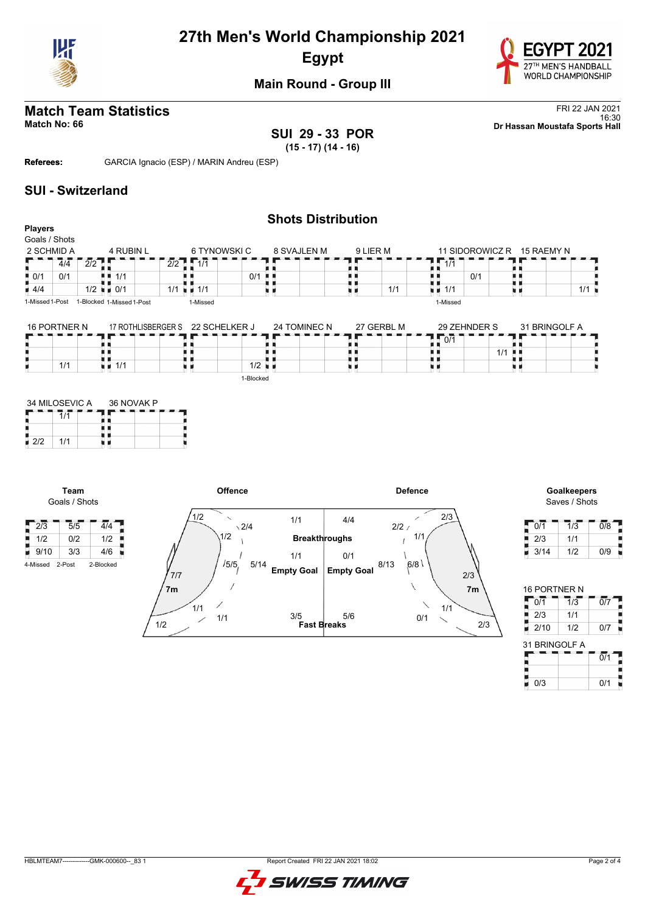



## **Main Round - Group III**

## **SUI 29 - 33 POR**

**Match Team Statistics** FRI 22 JAN 2021<br>16:30 FRI 22 JAN 2021 16:30 **Match No: 66 Dr Hassan Moustafa Sports Hall**

**(15 - 17) (14 - 16)**

**Referees:** GARCIA Ignacio (ESP) / MARIN Andreu (ESP)

#### **SUI - Switzerland**

|                    |     |                  |                           |              |             | <b>Shots Distribution</b> |          |                  |                 |            |     |
|--------------------|-----|------------------|---------------------------|--------------|-------------|---------------------------|----------|------------------|-----------------|------------|-----|
| <b>Players</b>     |     |                  |                           |              |             |                           |          |                  |                 |            |     |
| Goals / Shots      |     |                  |                           |              |             |                           |          |                  |                 |            |     |
| 2 SCHMID A         |     |                  | 4 RUBIN L                 | 6 TYNOWSKI C | 8 SVAJLEN M |                           | 9 LIER M |                  | 11 SIDOROWICZ R | 15 RAEMY N |     |
|                    | 4/4 | $\overline{2/2}$ |                           | $2/2$ 1 1/1  |             |                           |          | $\overline{1/1}$ |                 |            |     |
| $\blacksquare$ 0/1 | 0/1 |                  | 1/1                       |              | 0/1<br>. .  |                           |          |                  | 0/1             |            |     |
| $\blacksquare$ 4/4 |     |                  | $1/2$ $\blacksquare$ 0/1  | $1/1 = 1/1$  |             |                           | 1/1      | 1/1<br>n e       |                 |            | 1/1 |
| 1-Missed 1-Post    |     |                  | 1-Blocked 1-Missed 1-Post | 1-Missed     |             |                           |          | 1-Missed         |                 |            |     |
|                    |     |                  |                           |              |             |                           |          |                  |                 |            |     |

| 16 PORTNER N | 17 ROTHLISBERGER S | 22 SCHELKER J | 24 TOMINEC N | 27 GERBL M | 29 ZEHNDER S         | 31 BRINGOLF A |
|--------------|--------------------|---------------|--------------|------------|----------------------|---------------|
|              |                    |               |              |            | 0/1                  |               |
|              |                    |               |              |            | $1/1$ $\blacksquare$ |               |
| 1/1          | .1/1               | 1/2           |              |            |                      |               |
|              |                    | 1-Blocked     |              |            |                      |               |

|     | 34 MILOSEVIC A | 36 NOVAK P |  |  |  |  |  |  |  |  |
|-----|----------------|------------|--|--|--|--|--|--|--|--|
|     |                |            |  |  |  |  |  |  |  |  |
|     |                |            |  |  |  |  |  |  |  |  |
| 2/2 | 1/1            |            |  |  |  |  |  |  |  |  |

**Team** Goals / Shots

Н



Saves / Shots

| 0/1  | 1/3 | 0/8 |
|------|-----|-----|
| 2/3  | 1/1 |     |
| 3/14 | 1/2 | 0/9 |

| 16 PORTNER N  |                  |                  |
|---------------|------------------|------------------|
| 0/1           | $\overline{1/3}$ | $\overline{0/7}$ |
| 2/3           | 1/1              |                  |
| 2/10          | 1/2              | 0/7              |
| 31 BRINGOLF A |                  |                  |
|               |                  | $\overline{0/1}$ |
|               |                  |                  |
|               |                  |                  |

HBLMTEAM7-------------GMK-000600--\_83 1 Report Created FRI 22 JAN 2021 18:02

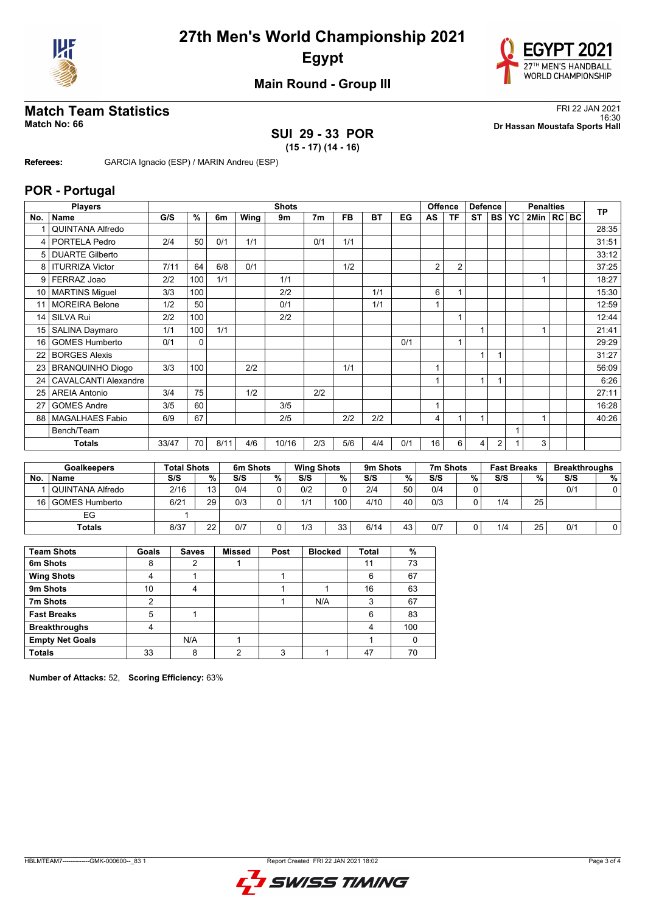



### **Main Round - Group III**

## **Match Team Statistics** FRI 22 JAN 2021

### **SUI 29 - 33 POR (15 - 17) (14 - 16)**

16:30 **Match No: 66 Dr Hassan Moustafa Sports Hall**

**Referees:** GARCIA Ignacio (ESP) / MARIN Andreu (ESP)

#### **POR - Portugal**

|     | <b>Players</b>              |       |     |      |      | <b>Shots</b> |                |           |           |     |    | Offence        | <b>Defence</b> |                | <b>Penalties</b> |                         | <b>TP</b> |       |
|-----|-----------------------------|-------|-----|------|------|--------------|----------------|-----------|-----------|-----|----|----------------|----------------|----------------|------------------|-------------------------|-----------|-------|
| No. | Name                        | G/S   | %   | 6m   | Wing | 9m           | 7 <sub>m</sub> | <b>FB</b> | <b>BT</b> | EG  | AS | <b>TF</b>      | <b>ST</b>      | <b>BS</b>      | YC               | 2Min   RC   BC          |           |       |
|     | <b>QUINTANA Alfredo</b>     |       |     |      |      |              |                |           |           |     |    |                |                |                |                  |                         |           | 28:35 |
| 4   | PORTELA Pedro               | 2/4   | 50  | 0/1  | 1/1  |              | 0/1            | 1/1       |           |     |    |                |                |                |                  |                         |           | 31:51 |
| 5   | <b>DUARTE Gilberto</b>      |       |     |      |      |              |                |           |           |     |    |                |                |                |                  |                         |           | 33:12 |
| 8   | <b>ITURRIZA Victor</b>      | 7/11  | 64  | 6/8  | 0/1  |              |                | 1/2       |           |     | 2  | $\overline{2}$ |                |                |                  |                         |           | 37:25 |
| 9   | FERRAZ Joao                 | 2/2   | 100 | 1/1  |      | 1/1          |                |           |           |     |    |                |                |                |                  |                         |           | 18:27 |
| 10  | <b>MARTINS Miquel</b>       | 3/3   | 100 |      |      | 2/2          |                |           | 1/1       |     | 6  |                |                |                |                  |                         |           | 15:30 |
| 11  | <b>MOREIRA Belone</b>       | 1/2   | 50  |      |      | 0/1          |                |           | 1/1       |     |    |                |                |                |                  |                         |           | 12:59 |
| 14  | SILVA Rui                   | 2/2   | 100 |      |      | 2/2          |                |           |           |     |    | 4              |                |                |                  |                         |           | 12:44 |
| 15  | SALINA Daymaro              | 1/1   | 100 | 1/1  |      |              |                |           |           |     |    |                | 1              |                |                  | $\overline{\mathbf{A}}$ |           | 21:41 |
| 16  | <b>GOMES Humberto</b>       | 0/1   | 0   |      |      |              |                |           |           | 0/1 |    | 1              |                |                |                  |                         |           | 29:29 |
| 22  | <b>BORGES Alexis</b>        |       |     |      |      |              |                |           |           |     |    |                | $\overline{1}$ |                |                  |                         |           | 31:27 |
| 23  | <b>BRANQUINHO Diogo</b>     | 3/3   | 100 |      | 2/2  |              |                | 1/1       |           |     |    |                |                |                |                  |                         |           | 56:09 |
| 24  | <b>CAVALCANTI Alexandre</b> |       |     |      |      |              |                |           |           |     |    |                | 1              |                |                  |                         |           | 6:26  |
| 25  | <b>AREIA Antonio</b>        | 3/4   | 75  |      | 1/2  |              | 2/2            |           |           |     |    |                |                |                |                  |                         |           | 27:11 |
| 27  | <b>GOMES Andre</b>          | 3/5   | 60  |      |      | 3/5          |                |           |           |     | 1  |                |                |                |                  |                         |           | 16:28 |
| 88  | MAGALHAES Fabio             | 6/9   | 67  |      |      | 2/5          |                | 2/2       | 2/2       |     | 4  | 1              | $\mathbf{1}$   |                |                  | 1                       |           | 40:26 |
|     | Bench/Team                  |       |     |      |      |              |                |           |           |     |    |                |                |                |                  |                         |           |       |
|     | <b>Totals</b>               | 33/47 | 70  | 8/11 | 4/6  | 10/16        | 2/3            | 5/6       | 4/4       | 0/1 | 16 | 6              | 4              | $\overline{2}$ |                  | 3                       |           |       |
|     |                             |       |     |      |      |              |                |           |           |     |    |                |                |                |                  |                         |           |       |

|     | <b>Goalkeepers</b>   |      | <b>Total Shots</b> |     | 6m Shots |     | <b>Wing Shots</b> |      | 9 <sub>m</sub> Shots |     | 7m Shots |     | <b>Fast Breaks</b> |     | <b>Breakthroughs</b> |  |
|-----|----------------------|------|--------------------|-----|----------|-----|-------------------|------|----------------------|-----|----------|-----|--------------------|-----|----------------------|--|
| No. | <b>Name</b>          | S/S  | %.                 | S/S | %        | S/S | $%$ 1             | S/S  | %.                   | S/S | %        | S/S | %                  | S/S | %                    |  |
|     | ⊺ I QUINTANA Alfredo | 2/16 | 13                 | 0/4 |          | 0/2 |                   | 2/4  | 50                   | 0/4 |          |     |                    | 0/1 |                      |  |
|     | 16 GOMES Humberto    | 6/21 | 29                 | 0/3 |          | 1/1 | 100 <sub>1</sub>  | 4/10 | 40                   | 0/3 |          | 1/4 | 25                 |     |                      |  |
|     | EG                   |      |                    |     |          |     |                   |      |                      |     |          |     |                    |     |                      |  |
|     | Totals               | 8/37 | 22                 | 0/7 |          | 1/3 | 33                | 6/14 | 43                   | 0/7 |          | 1/4 | 25                 | 0/1 |                      |  |

| <b>Team Shots</b>      | Goals | <b>Saves</b> | <b>Missed</b> | Post | <b>Blocked</b> | <b>Total</b> | %   |
|------------------------|-------|--------------|---------------|------|----------------|--------------|-----|
| 6m Shots               | 8     | າ            |               |      |                | 11           | 73  |
| <b>Wing Shots</b>      | 4     |              |               |      |                | 6            | 67  |
| 9m Shots               | 10    | 4            |               |      |                | 16           | 63  |
| 7m Shots               | 2     |              |               |      | N/A            | 3            | 67  |
| <b>Fast Breaks</b>     | 5     |              |               |      |                | 6            | 83  |
| <b>Breakthroughs</b>   | 4     |              |               |      |                | 4            | 100 |
| <b>Empty Net Goals</b> |       | N/A          |               |      |                |              |     |
| <b>Totals</b>          | 33    | 8            | ◠             | 3    |                | 47           | 70  |

**Number of Attacks:** 52, **Scoring Efficiency:** 63%